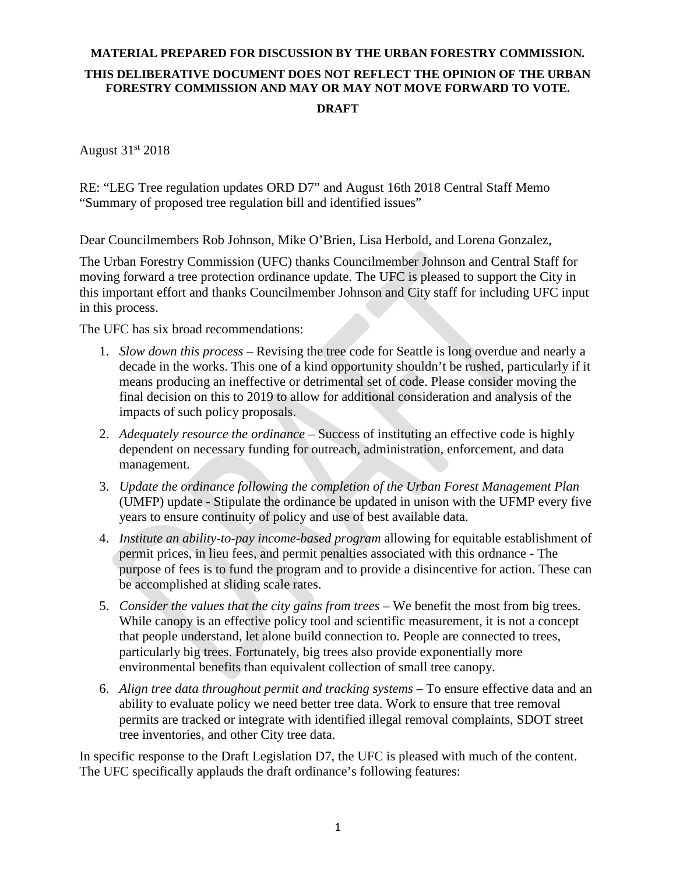August 31st 2018

RE: "LEG Tree regulation updates ORD D7" and August 16th 2018 Central Staff Memo "Summary of proposed tree regulation bill and identified issues"

Dear Councilmembers Rob Johnson, Mike O'Brien, Lisa Herbold, and Lorena Gonzalez,

The Urban Forestry Commission (UFC) thanks Councilmember Johnson and Central Staff for moving forward a tree protection ordinance update. The UFC is pleased to support the City in this important effort and thanks Councilmember Johnson and City staff for including UFC input in this process.

The UFC has six broad recommendations:

- 1. *Slow down this process* Revising the tree code for Seattle is long overdue and nearly a decade in the works. This one of a kind opportunity shouldn't be rushed, particularly if it means producing an ineffective or detrimental set of code. Please consider moving the final decision on this to 2019 to allow for additional consideration and analysis of the impacts of such policy proposals.
- 2. *Adequately resource the ordinance* Success of instituting an effective code is highly dependent on necessary funding for outreach, administration, enforcement, and data management.
- 3. *Update the ordinance following the completion of the Urban Forest Management Plan* (UMFP) update - Stipulate the ordinance be updated in unison with the UFMP every five years to ensure continuity of policy and use of best available data.
- 4. *Institute an ability-to-pay income-based program* allowing for equitable establishment of permit prices, in lieu fees, and permit penalties associated with this ordnance - The purpose of fees is to fund the program and to provide a disincentive for action. These can be accomplished at sliding scale rates.
- 5. *Consider the values that the city gains from trees* We benefit the most from big trees. While canopy is an effective policy tool and scientific measurement, it is not a concept that people understand, let alone build connection to. People are connected to trees, particularly big trees. Fortunately, big trees also provide exponentially more environmental benefits than equivalent collection of small tree canopy.
- 6. *Align tree data throughout permit and tracking systems* To ensure effective data and an ability to evaluate policy we need better tree data. Work to ensure that tree removal permits are tracked or integrate with identified illegal removal complaints, SDOT street tree inventories, and other City tree data.

In specific response to the Draft Legislation D7, the UFC is pleased with much of the content. The UFC specifically applauds the draft ordinance's following features: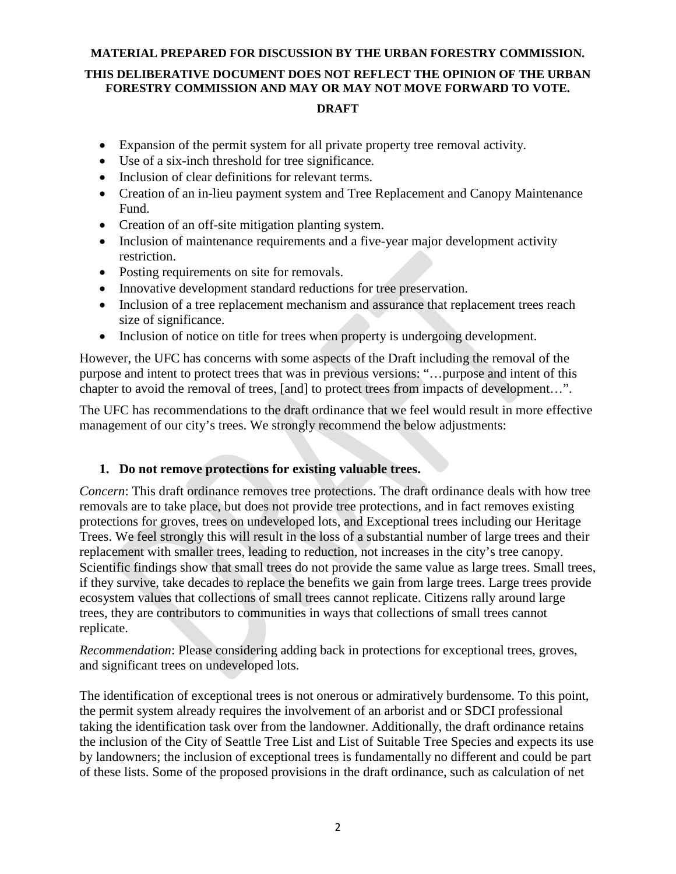- Expansion of the permit system for all private property tree removal activity.
- Use of a six-inch threshold for tree significance.
- Inclusion of clear definitions for relevant terms.
- Creation of an in-lieu payment system and Tree Replacement and Canopy Maintenance Fund.
- Creation of an off-site mitigation planting system.
- Inclusion of maintenance requirements and a five-year major development activity restriction.
- Posting requirements on site for removals.
- Innovative development standard reductions for tree preservation.
- Inclusion of a tree replacement mechanism and assurance that replacement trees reach size of significance.
- Inclusion of notice on title for trees when property is undergoing development.

However, the UFC has concerns with some aspects of the Draft including the removal of the purpose and intent to protect trees that was in previous versions: "…purpose and intent of this chapter to avoid the removal of trees, [and] to protect trees from impacts of development…".

The UFC has recommendations to the draft ordinance that we feel would result in more effective management of our city's trees. We strongly recommend the below adjustments:

### **1. Do not remove protections for existing valuable trees.**

*Concern*: This draft ordinance removes tree protections. The draft ordinance deals with how tree removals are to take place, but does not provide tree protections, and in fact removes existing protections for groves, trees on undeveloped lots, and Exceptional trees including our Heritage Trees. We feel strongly this will result in the loss of a substantial number of large trees and their replacement with smaller trees, leading to reduction, not increases in the city's tree canopy. Scientific findings show that small trees do not provide the same value as large trees. Small trees, if they survive, take decades to replace the benefits we gain from large trees. Large trees provide ecosystem values that collections of small trees cannot replicate. Citizens rally around large trees, they are contributors to communities in ways that collections of small trees cannot replicate.

*Recommendation*: Please considering adding back in protections for exceptional trees, groves, and significant trees on undeveloped lots.

The identification of exceptional trees is not onerous or admiratively burdensome. To this point, the permit system already requires the involvement of an arborist and or SDCI professional taking the identification task over from the landowner. Additionally, the draft ordinance retains the inclusion of the City of Seattle Tree List and List of Suitable Tree Species and expects its use by landowners; the inclusion of exceptional trees is fundamentally no different and could be part of these lists. Some of the proposed provisions in the draft ordinance, such as calculation of net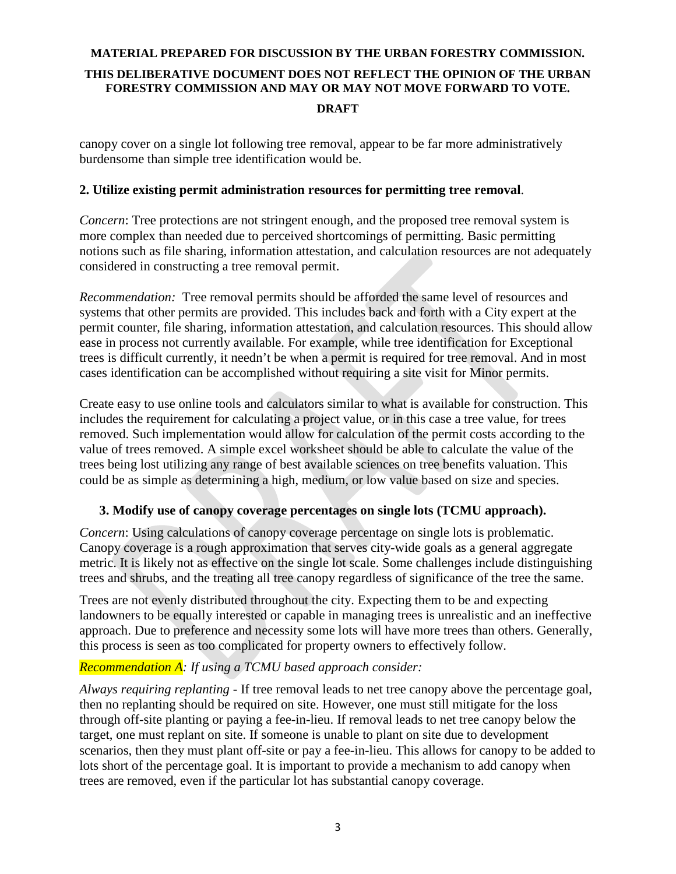canopy cover on a single lot following tree removal, appear to be far more administratively burdensome than simple tree identification would be.

#### **2. Utilize existing permit administration resources for permitting tree removal**.

*Concern*: Tree protections are not stringent enough, and the proposed tree removal system is more complex than needed due to perceived shortcomings of permitting. Basic permitting notions such as file sharing, information attestation, and calculation resources are not adequately considered in constructing a tree removal permit.

*Recommendation:* Tree removal permits should be afforded the same level of resources and systems that other permits are provided. This includes back and forth with a City expert at the permit counter, file sharing, information attestation, and calculation resources. This should allow ease in process not currently available. For example, while tree identification for Exceptional trees is difficult currently, it needn't be when a permit is required for tree removal. And in most cases identification can be accomplished without requiring a site visit for Minor permits.

Create easy to use online tools and calculators similar to what is available for construction. This includes the requirement for calculating a project value, or in this case a tree value, for trees removed. Such implementation would allow for calculation of the permit costs according to the value of trees removed. A simple excel worksheet should be able to calculate the value of the trees being lost utilizing any range of best available sciences on tree benefits valuation. This could be as simple as determining a high, medium, or low value based on size and species.

### **3. Modify use of canopy coverage percentages on single lots (TCMU approach).**

*Concern*: Using calculations of canopy coverage percentage on single lots is problematic. Canopy coverage is a rough approximation that serves city-wide goals as a general aggregate metric. It is likely not as effective on the single lot scale. Some challenges include distinguishing trees and shrubs, and the treating all tree canopy regardless of significance of the tree the same.

Trees are not evenly distributed throughout the city. Expecting them to be and expecting landowners to be equally interested or capable in managing trees is unrealistic and an ineffective approach. Due to preference and necessity some lots will have more trees than others. Generally, this process is seen as too complicated for property owners to effectively follow.

### *Recommendation A: If using a TCMU based approach consider:*

*Always requiring replanting* - If tree removal leads to net tree canopy above the percentage goal, then no replanting should be required on site. However, one must still mitigate for the loss through off-site planting or paying a fee-in-lieu. If removal leads to net tree canopy below the target, one must replant on site. If someone is unable to plant on site due to development scenarios, then they must plant off-site or pay a fee-in-lieu. This allows for canopy to be added to lots short of the percentage goal. It is important to provide a mechanism to add canopy when trees are removed, even if the particular lot has substantial canopy coverage.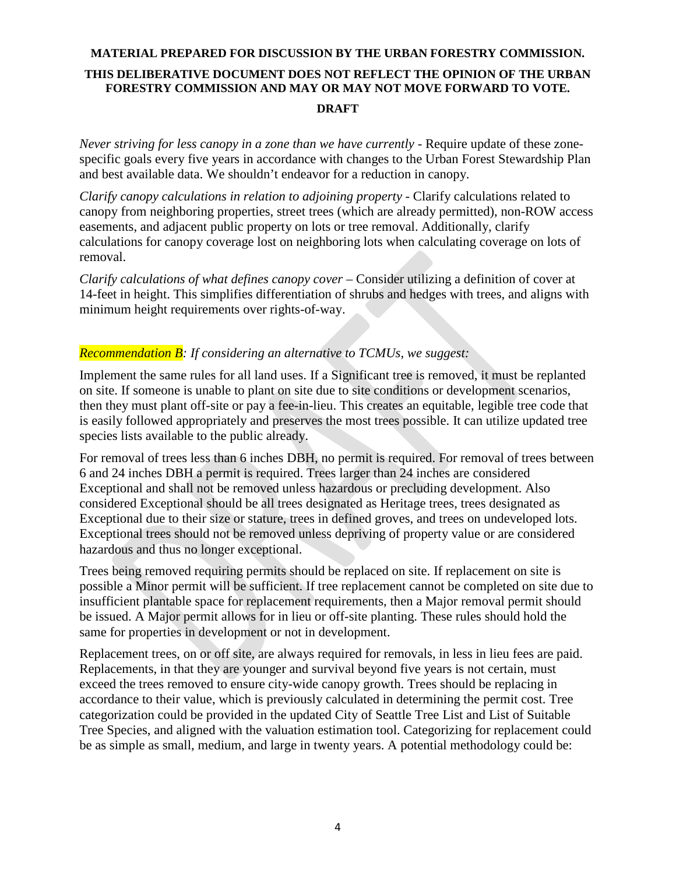*Never striving for less canopy in a zone than we have currently -* Require update of these zonespecific goals every five years in accordance with changes to the Urban Forest Stewardship Plan and best available data. We shouldn't endeavor for a reduction in canopy.

*Clarify canopy calculations in relation to adjoining property -* Clarify calculations related to canopy from neighboring properties, street trees (which are already permitted), non-ROW access easements, and adjacent public property on lots or tree removal. Additionally, clarify calculations for canopy coverage lost on neighboring lots when calculating coverage on lots of removal.

*Clarify calculations of what defines canopy cover* – Consider utilizing a definition of cover at 14-feet in height. This simplifies differentiation of shrubs and hedges with trees, and aligns with minimum height requirements over rights-of-way.

#### *Recommendation B: If considering an alternative to TCMUs, we suggest:*

Implement the same rules for all land uses. If a Significant tree is removed, it must be replanted on site. If someone is unable to plant on site due to site conditions or development scenarios, then they must plant off-site or pay a fee-in-lieu. This creates an equitable, legible tree code that is easily followed appropriately and preserves the most trees possible. It can utilize updated tree species lists available to the public already.

For removal of trees less than 6 inches DBH, no permit is required. For removal of trees between 6 and 24 inches DBH a permit is required. Trees larger than 24 inches are considered Exceptional and shall not be removed unless hazardous or precluding development. Also considered Exceptional should be all trees designated as Heritage trees, trees designated as Exceptional due to their size or stature, trees in defined groves, and trees on undeveloped lots. Exceptional trees should not be removed unless depriving of property value or are considered hazardous and thus no longer exceptional.

Trees being removed requiring permits should be replaced on site. If replacement on site is possible a Minor permit will be sufficient. If tree replacement cannot be completed on site due to insufficient plantable space for replacement requirements, then a Major removal permit should be issued. A Major permit allows for in lieu or off-site planting. These rules should hold the same for properties in development or not in development.

Replacement trees, on or off site, are always required for removals, in less in lieu fees are paid. Replacements, in that they are younger and survival beyond five years is not certain, must exceed the trees removed to ensure city-wide canopy growth. Trees should be replacing in accordance to their value, which is previously calculated in determining the permit cost. Tree categorization could be provided in the updated City of Seattle Tree List and List of Suitable Tree Species, and aligned with the valuation estimation tool. Categorizing for replacement could be as simple as small, medium, and large in twenty years. A potential methodology could be: